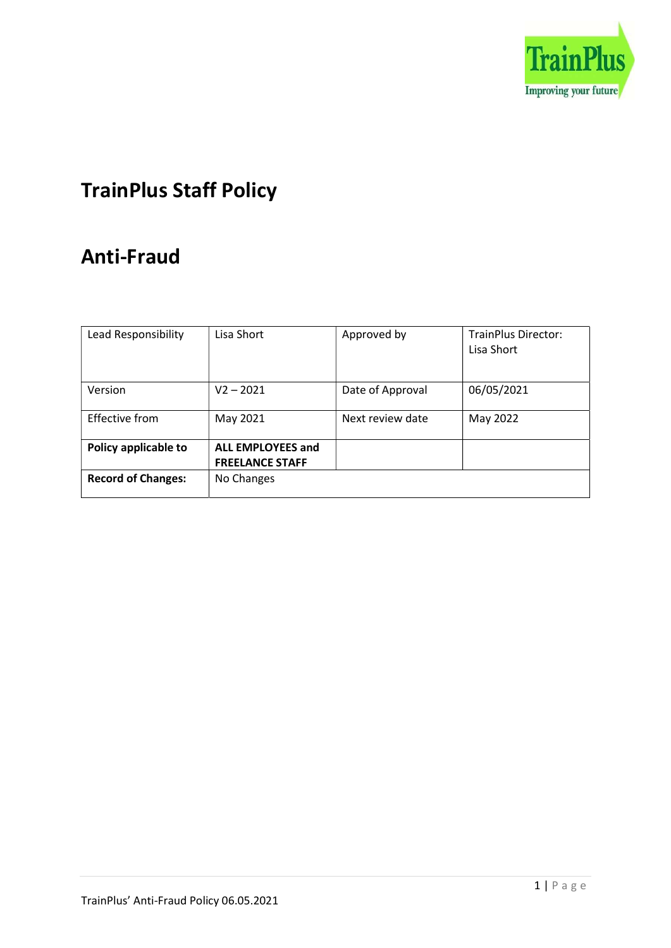

# TrainPlus Staff Policy

## Anti-Fraud

| Lead Responsibility       | Lisa Short                                         | Approved by      | <b>TrainPlus Director:</b><br>Lisa Short |
|---------------------------|----------------------------------------------------|------------------|------------------------------------------|
|                           |                                                    |                  |                                          |
| Version                   | $V2 - 2021$                                        | Date of Approval | 06/05/2021                               |
| <b>Effective from</b>     | May 2021                                           | Next review date | May 2022                                 |
| Policy applicable to      | <b>ALL EMPLOYEES and</b><br><b>FREELANCE STAFF</b> |                  |                                          |
| <b>Record of Changes:</b> | No Changes                                         |                  |                                          |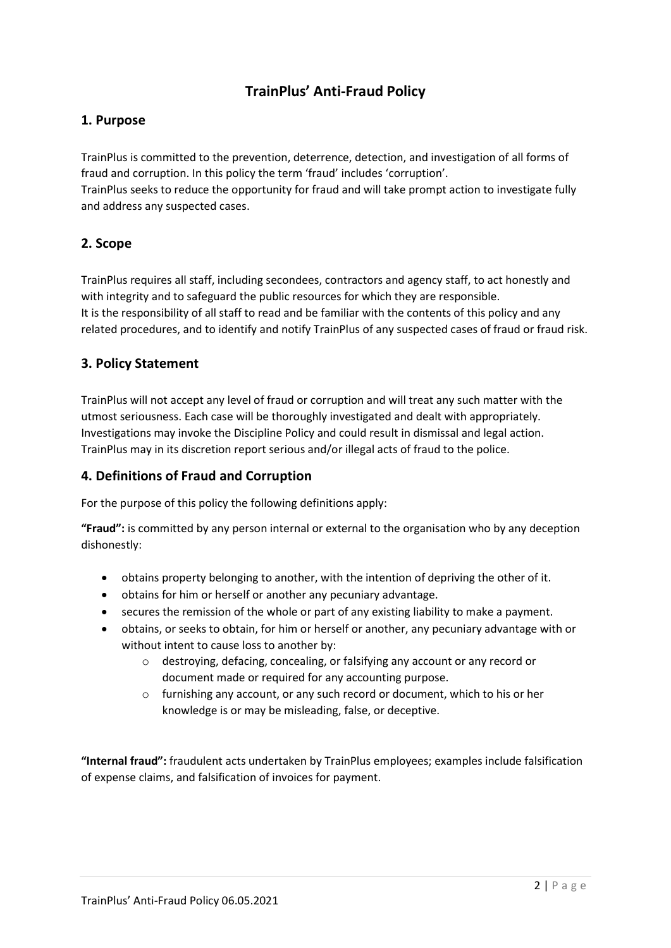## TrainPlus' Anti-Fraud Policy

## 1. Purpose

TrainPlus is committed to the prevention, deterrence, detection, and investigation of all forms of fraud and corruption. In this policy the term 'fraud' includes 'corruption'. TrainPlus seeks to reduce the opportunity for fraud and will take prompt action to investigate fully and address any suspected cases.

## 2. Scope

TrainPlus requires all staff, including secondees, contractors and agency staff, to act honestly and with integrity and to safeguard the public resources for which they are responsible. It is the responsibility of all staff to read and be familiar with the contents of this policy and any related procedures, and to identify and notify TrainPlus of any suspected cases of fraud or fraud risk.

## 3. Policy Statement

TrainPlus will not accept any level of fraud or corruption and will treat any such matter with the utmost seriousness. Each case will be thoroughly investigated and dealt with appropriately. Investigations may invoke the Discipline Policy and could result in dismissal and legal action. TrainPlus may in its discretion report serious and/or illegal acts of fraud to the police.

## 4. Definitions of Fraud and Corruption

For the purpose of this policy the following definitions apply:

"Fraud": is committed by any person internal or external to the organisation who by any deception dishonestly:

- obtains property belonging to another, with the intention of depriving the other of it.
- obtains for him or herself or another any pecuniary advantage.
- secures the remission of the whole or part of any existing liability to make a payment.
- obtains, or seeks to obtain, for him or herself or another, any pecuniary advantage with or without intent to cause loss to another by:
	- o destroying, defacing, concealing, or falsifying any account or any record or document made or required for any accounting purpose.
	- o furnishing any account, or any such record or document, which to his or her knowledge is or may be misleading, false, or deceptive.

"Internal fraud": fraudulent acts undertaken by TrainPlus employees; examples include falsification of expense claims, and falsification of invoices for payment.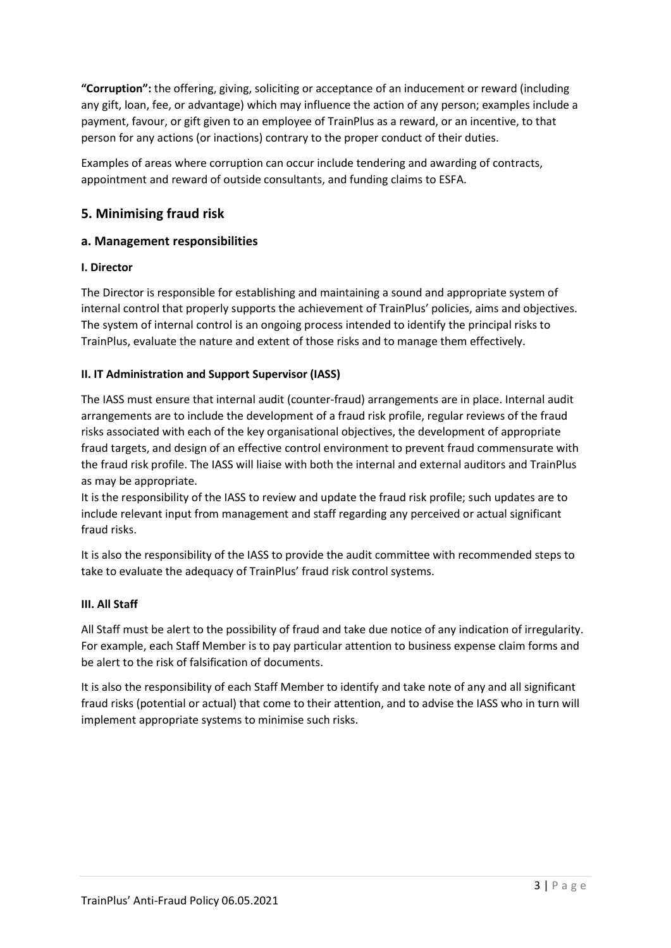"Corruption": the offering, giving, soliciting or acceptance of an inducement or reward (including any gift, loan, fee, or advantage) which may influence the action of any person; examples include a payment, favour, or gift given to an employee of TrainPlus as a reward, or an incentive, to that person for any actions (or inactions) contrary to the proper conduct of their duties.

Examples of areas where corruption can occur include tendering and awarding of contracts, appointment and reward of outside consultants, and funding claims to ESFA.

## 5. Minimising fraud risk

#### a. Management responsibilities

#### I. Director

The Director is responsible for establishing and maintaining a sound and appropriate system of internal control that properly supports the achievement of TrainPlus' policies, aims and objectives. The system of internal control is an ongoing process intended to identify the principal risks to TrainPlus, evaluate the nature and extent of those risks and to manage them effectively.

#### II. IT Administration and Support Supervisor (IASS)

The IASS must ensure that internal audit (counter-fraud) arrangements are in place. Internal audit arrangements are to include the development of a fraud risk profile, regular reviews of the fraud risks associated with each of the key organisational objectives, the development of appropriate fraud targets, and design of an effective control environment to prevent fraud commensurate with the fraud risk profile. The IASS will liaise with both the internal and external auditors and TrainPlus as may be appropriate.

It is the responsibility of the IASS to review and update the fraud risk profile; such updates are to include relevant input from management and staff regarding any perceived or actual significant fraud risks.

It is also the responsibility of the IASS to provide the audit committee with recommended steps to take to evaluate the adequacy of TrainPlus' fraud risk control systems.

#### III. All Staff

All Staff must be alert to the possibility of fraud and take due notice of any indication of irregularity. For example, each Staff Member is to pay particular attention to business expense claim forms and be alert to the risk of falsification of documents.

It is also the responsibility of each Staff Member to identify and take note of any and all significant fraud risks (potential or actual) that come to their attention, and to advise the IASS who in turn will implement appropriate systems to minimise such risks.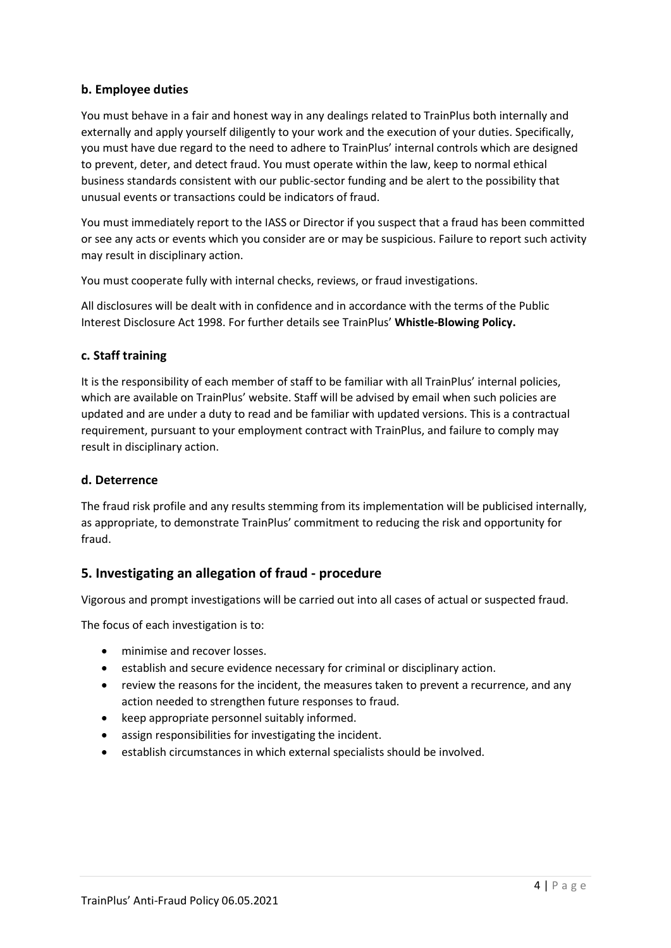#### b. Employee duties

You must behave in a fair and honest way in any dealings related to TrainPlus both internally and externally and apply yourself diligently to your work and the execution of your duties. Specifically, you must have due regard to the need to adhere to TrainPlus' internal controls which are designed to prevent, deter, and detect fraud. You must operate within the law, keep to normal ethical business standards consistent with our public-sector funding and be alert to the possibility that unusual events or transactions could be indicators of fraud.

You must immediately report to the IASS or Director if you suspect that a fraud has been committed or see any acts or events which you consider are or may be suspicious. Failure to report such activity may result in disciplinary action.

You must cooperate fully with internal checks, reviews, or fraud investigations.

All disclosures will be dealt with in confidence and in accordance with the terms of the Public Interest Disclosure Act 1998. For further details see TrainPlus' Whistle-Blowing Policy.

#### c. Staff training

It is the responsibility of each member of staff to be familiar with all TrainPlus' internal policies, which are available on TrainPlus' website. Staff will be advised by email when such policies are updated and are under a duty to read and be familiar with updated versions. This is a contractual requirement, pursuant to your employment contract with TrainPlus, and failure to comply may result in disciplinary action.

#### d. Deterrence

The fraud risk profile and any results stemming from its implementation will be publicised internally, as appropriate, to demonstrate TrainPlus' commitment to reducing the risk and opportunity for fraud.

## 5. Investigating an allegation of fraud - procedure

Vigorous and prompt investigations will be carried out into all cases of actual or suspected fraud.

The focus of each investigation is to:

- minimise and recover losses.
- establish and secure evidence necessary for criminal or disciplinary action.
- review the reasons for the incident, the measures taken to prevent a recurrence, and any action needed to strengthen future responses to fraud.
- keep appropriate personnel suitably informed.
- assign responsibilities for investigating the incident.
- establish circumstances in which external specialists should be involved.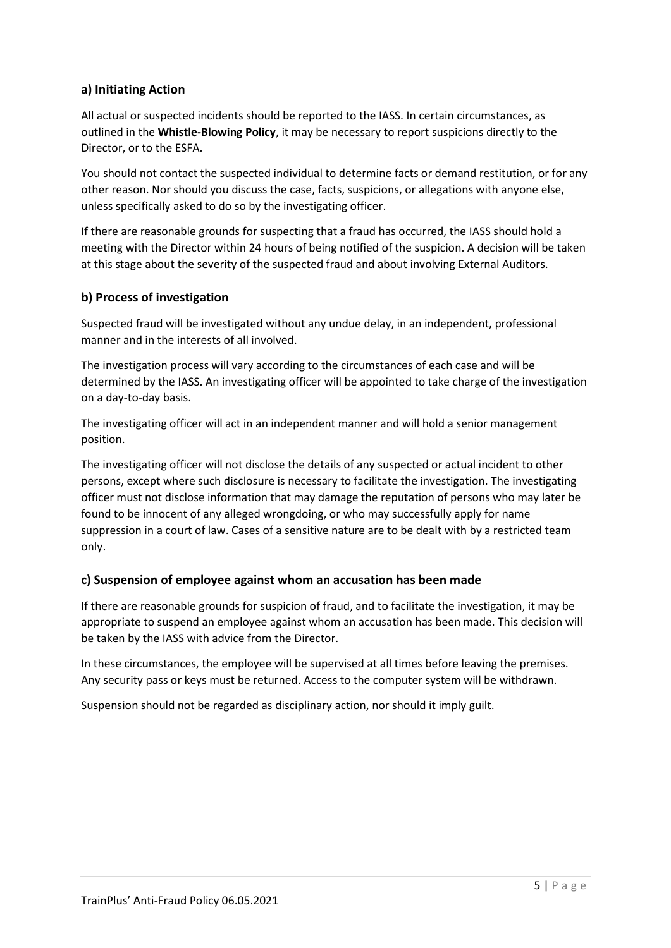#### a) Initiating Action

All actual or suspected incidents should be reported to the IASS. In certain circumstances, as outlined in the Whistle-Blowing Policy, it may be necessary to report suspicions directly to the Director, or to the ESFA.

You should not contact the suspected individual to determine facts or demand restitution, or for any other reason. Nor should you discuss the case, facts, suspicions, or allegations with anyone else, unless specifically asked to do so by the investigating officer.

If there are reasonable grounds for suspecting that a fraud has occurred, the IASS should hold a meeting with the Director within 24 hours of being notified of the suspicion. A decision will be taken at this stage about the severity of the suspected fraud and about involving External Auditors.

#### b) Process of investigation

Suspected fraud will be investigated without any undue delay, in an independent, professional manner and in the interests of all involved.

The investigation process will vary according to the circumstances of each case and will be determined by the IASS. An investigating officer will be appointed to take charge of the investigation on a day-to-day basis.

The investigating officer will act in an independent manner and will hold a senior management position.

The investigating officer will not disclose the details of any suspected or actual incident to other persons, except where such disclosure is necessary to facilitate the investigation. The investigating officer must not disclose information that may damage the reputation of persons who may later be found to be innocent of any alleged wrongdoing, or who may successfully apply for name suppression in a court of law. Cases of a sensitive nature are to be dealt with by a restricted team only.

#### c) Suspension of employee against whom an accusation has been made

If there are reasonable grounds for suspicion of fraud, and to facilitate the investigation, it may be appropriate to suspend an employee against whom an accusation has been made. This decision will be taken by the IASS with advice from the Director.

In these circumstances, the employee will be supervised at all times before leaving the premises. Any security pass or keys must be returned. Access to the computer system will be withdrawn.

Suspension should not be regarded as disciplinary action, nor should it imply guilt.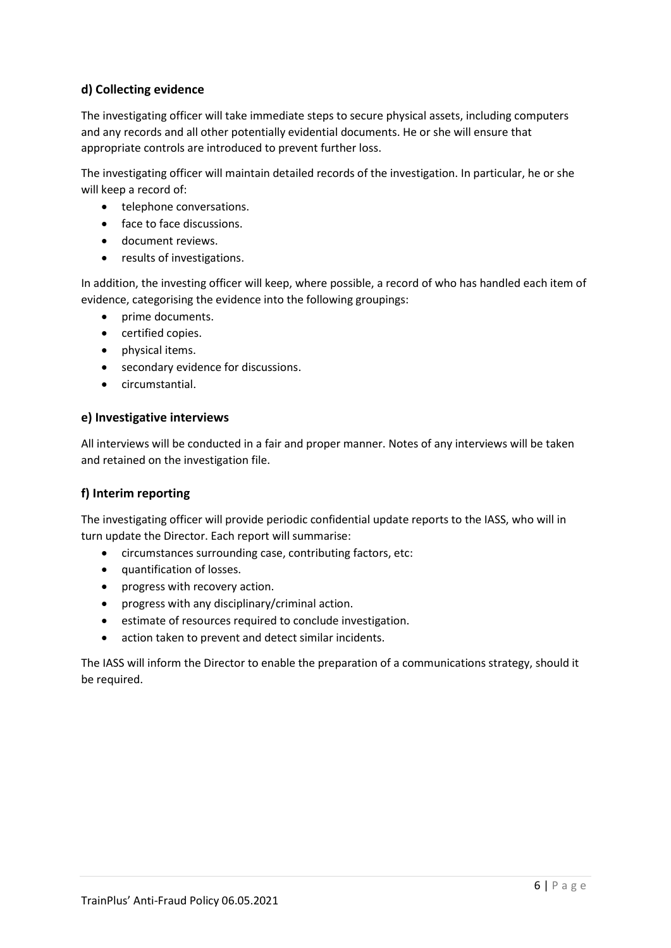## d) Collecting evidence

The investigating officer will take immediate steps to secure physical assets, including computers and any records and all other potentially evidential documents. He or she will ensure that appropriate controls are introduced to prevent further loss.

The investigating officer will maintain detailed records of the investigation. In particular, he or she will keep a record of:

- telephone conversations.
- face to face discussions.
- document reviews.
- results of investigations.

In addition, the investing officer will keep, where possible, a record of who has handled each item of evidence, categorising the evidence into the following groupings:

- prime documents.
- certified copies.
- physical items.
- secondary evidence for discussions.
- circumstantial.

#### e) Investigative interviews

All interviews will be conducted in a fair and proper manner. Notes of any interviews will be taken and retained on the investigation file.

#### f) Interim reporting

The investigating officer will provide periodic confidential update reports to the IASS, who will in turn update the Director. Each report will summarise:

- circumstances surrounding case, contributing factors, etc:
- quantification of losses.
- progress with recovery action.
- progress with any disciplinary/criminal action.
- **•** estimate of resources required to conclude investigation.
- action taken to prevent and detect similar incidents.

The IASS will inform the Director to enable the preparation of a communications strategy, should it be required.